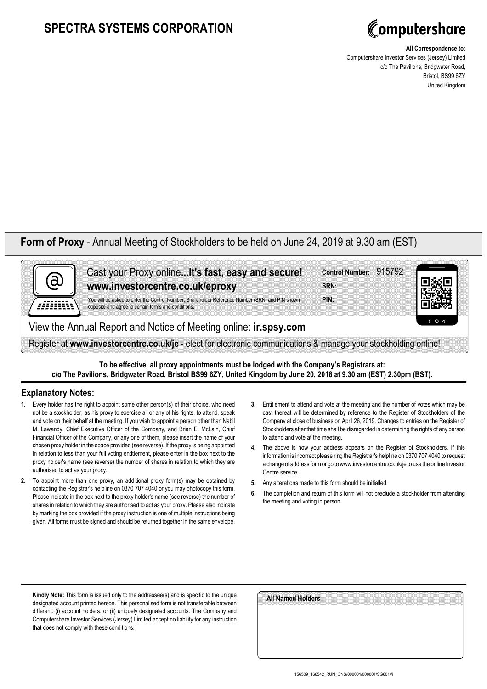## **SPECTRA SYSTEMS CORPORATION**



**All Correspondence to:**

Computershare Investor Services (Jersey) Limited c/o The Pavilions, Bridgwater Road, Bristol, BS99 6ZY United Kingdom

## **Form of Proxy** - Annual Meeting of Stockholders to be held on June 24, 2019 at 9.30 am (EST)



Cast your Proxy online**...It's fast, easy and secure! www.investorcentre.co.uk/eproxy**

You will be asked to enter the Control Number, Shareholder Reference Number (SRN) and PIN shown opposite and agree to certain terms and conditions.

View the Annual Report and Notice of Meeting online: **ir.spsy.com**

Register at **www.investorcentre.co.uk/je -** elect for electronic communications & manage your stockholding online!

**To be effective, all proxy appointments must be lodged with the Company's Registrars at: c/o The Pavilions, Bridgwater Road, Bristol BS99 6ZY, United Kingdom by June 20, 2018 at 9.30 am (EST) 2.30pm (BST).**

## **Explanatory Notes:**

- **1.** Every holder has the right to appoint some other person(s) of their choice, who need not be a stockholder, as his proxy to exercise all or any of his rights, to attend, speak and vote on their behalf at the meeting. If you wish to appoint a person other than Nabil M. Lawandy, Chief Executive Officer of the Company, and Brian E. McLain, Chief Financial Officer of the Company, or any one of them, please insert the name of your chosen proxy holder in the space provided (see reverse). If the proxy is being appointed in relation to less than your full voting entitlement, please enter in the box next to the proxy holder's name (see reverse) the number of shares in relation to which they are authorised to act as your proxy.
- **2.** To appoint more than one proxy, an additional proxy form(s) may be obtained by contacting the Registrar's helpline on 0370 707 4040 or you may photocopy this form. Please indicate in the box next to the proxy holder's name (see reverse) the number of shares in relation to which they are authorised to act as your proxy. Please also indicate by marking the box provided if the proxy instruction is one of multiple instructions being given. All forms must be signed and should be returned together in the same envelope.
- **3.** Entitlement to attend and vote at the meeting and the number of votes which may be cast thereat will be determined by reference to the Register of Stockholders of the Company at close of business on April 26, 2019. Changes to entries on the Register of Stockholders after that time shall be disregarded in determining the rights of any person to attend and vote at the meeting.

**Control Number:** 915792

- **4.** The above is how your address appears on the Register of Stockholders. If this information is incorrect please ring the Registrar's helpline on 0370 707 4040 to request a change of address form or go to www.investorcentre.co.uk/je to use the online Investor Centre service.
- **5.** Any alterations made to this form should be initialled.

**PIN: SRN:**

**6.** The completion and return of this form will not preclude a stockholder from attending the meeting and voting in person.

**Kindly Note:** This form is issued only to the addressee(s) and is specific to the unique designated account printed hereon. This personalised form is not transferable between different: (i) account holders; or (ii) uniquely designated accounts. The Company and Computershare Investor Services (Jersey) Limited accept no liability for any instruction that does not comply with these conditions.

| All Named Holders |  |
|-------------------|--|
|                   |  |
|                   |  |
|                   |  |
|                   |  |